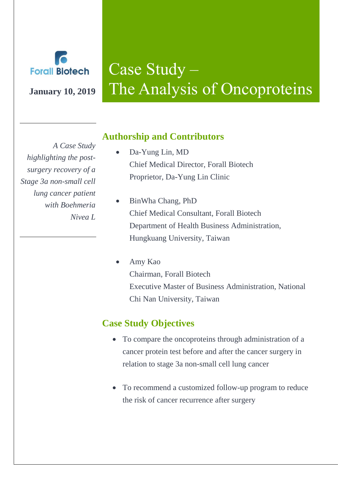

# Case Study – **January 10, 2019** The Analysis of Oncoproteins

*A Case Study highlighting the postsurgery recovery of a Stage 3a non-small cell lung cancer patient with Boehmeria Nivea L* 

# **Authorship and Contributors**

- Da-Yung Lin, MD Chief Medical Director, Forall Biotech Proprietor, Da-Yung Lin Clinic
- BinWha Chang, PhD Chief Medical Consultant, Forall Biotech Department of Health Business Administration, Hungkuang University, Taiwan
- Amy Kao Chairman, Forall Biotech Executive Master of Business Administration, National Chi Nan University, Taiwan

# **Case Study Objectives**

- To compare the oncoproteins through administration of a cancer protein test before and after the cancer surgery in relation to stage 3a non-small cell lung cancer
- To recommend a customized follow-up program to reduce the risk of cancer recurrence after surgery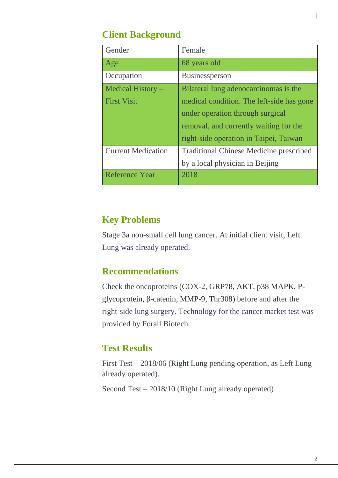# **Client Background**

| Gender                    | Female                                         |
|---------------------------|------------------------------------------------|
| Age                       | 68 years old                                   |
| Occupation                | Businessperson                                 |
| Medical History $-$       | Bilateral lung adenocarcinomas is the          |
| <b>First Visit</b>        | medical condition. The left-side has gone      |
|                           | under operation through surgical               |
|                           | removal, and currently waiting for the         |
|                           | right-side operation in Taipei, Taiwan         |
| <b>Current Medication</b> | <b>Traditional Chinese Medicine prescribed</b> |
|                           | by a local physician in Beijing                |
| <b>Reference Year</b>     | 2018                                           |

## **Key Problems**

Stage 3a non-small cell lung cancer. At initial client visit, Left Lung was already operated.

# **Recommendations**

Check the oncoproteins (COX-2, GRP78, AKT, p38 MAPK, Pglycoprotein, β-catenin, MMP-9, Thr308) before and after the right-side lung surgery. Technology for the cancer market test was provided by Forall Biotech.

# **Test Results**

First Test – 2018/06 (Right Lung pending operation, as Left Lung already operated).

Second Test – 2018/10 (Right Lung already operated)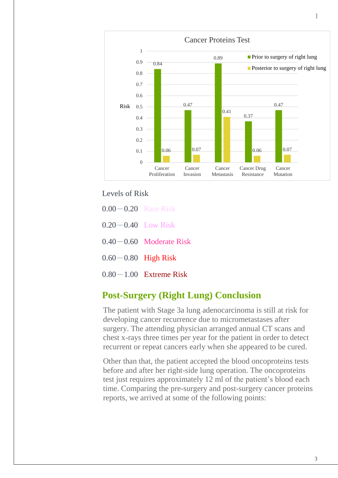

Levels of Risk

- 0.00-0.20 Rare Risk
- $0.20 0.40$  Low Risk
- $0.40 0.60$  Moderate Risk
- $0.60 0.80$  High Risk
- $0.80-1.00$  Extreme Risk

#### **Post-Surgery (Right Lung) Conclusion**

The patient with Stage 3a lung adenocarcinoma is still at risk for developing cancer recurrence due to micrometastases after surgery. The attending physician arranged annual CT scans and chest x-rays three times per year for the patient in order to detect recurrent or repeat cancers early when she appeared to be cured.

Other than that, the patient accepted the blood oncoproteins tests before and after her right-side lung operation. The oncoproteins test just requires approximately 12 ml of the patient's blood each time. Comparing the pre-surgery and post-surgery cancer proteins reports, we arrived at some of the following points: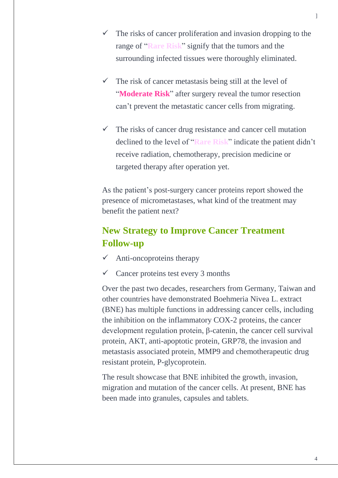- $\checkmark$  The risks of cancer proliferation and invasion dropping to the range of "**Rare Risk**" signify that the tumors and the surrounding infected tissues were thoroughly eliminated.
- $\checkmark$  The risk of cancer metastasis being still at the level of "**Moderate Risk**" after surgery reveal the tumor resection can't prevent the metastatic cancer cells from migrating.
- $\checkmark$  The risks of cancer drug resistance and cancer cell mutation declined to the level of "**Rare Risk**" indicate the patient didn't receive radiation, chemotherapy, precision medicine or targeted therapy after operation yet.

As the patient's post-surgery cancer proteins report showed the presence of micrometastases, what kind of the treatment may benefit the patient next?

# **New Strategy to Improve Cancer Treatment Follow-up**

- $\checkmark$  Anti-oncoproteins therapy
- $\checkmark$  Cancer proteins test every 3 months

Over the past two decades, researchers from Germany, Taiwan and other countries have demonstrated Boehmeria Nivea L. extract (BNE) has multiple functions in addressing cancer cells, including the inhibition on the inflammatory COX-2 proteins, the cancer development regulation protein, β-catenin, the cancer cell survival protein, AKT, anti-apoptotic protein, GRP78, the invasion and metastasis associated protein, MMP9 and chemotherapeutic drug resistant protein, P-glycoprotein.

The result showcase that BNE inhibited the growth, invasion, migration and mutation of the cancer cells. At present, BNE has been made into granules, capsules and tablets.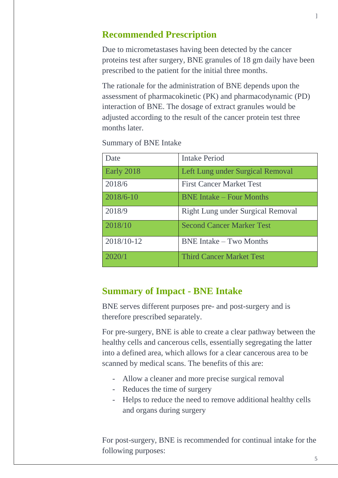## **Recommended Prescription**

Due to micrometastases having been detected by the cancer proteins test after surgery, BNE granules of 18 gm daily have been prescribed to the patient for the initial three months.

The rationale for the administration of BNE depends upon the assessment of pharmacokinetic (PK) and pharmacodynamic (PD) interaction of BNE. The dosage of extract granules would be adjusted according to the result of the cancer protein test three months later.

| Date       | <b>Intake Period</b>              |
|------------|-----------------------------------|
| Early 2018 | Left Lung under Surgical Removal  |
| 2018/6     | <b>First Cancer Market Test</b>   |
| 2018/6-10  | <b>BNE</b> Intake – Four Months   |
| 2018/9     | Right Lung under Surgical Removal |
| 2018/10    | <b>Second Cancer Marker Test</b>  |
| 2018/10-12 | <b>BNE</b> Intake – Two Months    |
| 2020/1     | <b>Third Cancer Market Test</b>   |

Summary of BNE Intake

#### **Summary of Impact - BNE Intake**

BNE serves different purposes pre- and post-surgery and is therefore prescribed separately.

For pre-surgery, BNE is able to create a clear pathway between the healthy cells and cancerous cells, essentially segregating the latter into a defined area, which allows for a clear cancerous area to be scanned by medical scans. The benefits of this are:

- Allow a cleaner and more precise surgical removal
- Reduces the time of surgery
- Helps to reduce the need to remove additional healthy cells and organs during surgery

For post-surgery, BNE is recommended for continual intake for the following purposes: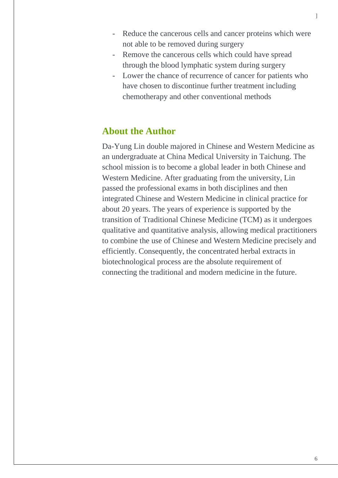- Reduce the cancerous cells and cancer proteins which were not able to be removed during surgery
- Remove the cancerous cells which could have spread through the blood lymphatic system during surgery
- Lower the chance of recurrence of cancer for patients who have chosen to discontinue further treatment including chemotherapy and other conventional methods

#### **About the Author**

Da-Yung Lin double majored in Chinese and Western Medicine as an undergraduate at China Medical University in Taichung. The school mission is to become a global leader in both Chinese and Western Medicine. After graduating from the university, Lin passed the professional exams in both disciplines and then integrated Chinese and Western Medicine in clinical practice for about 20 years. The years of experience is supported by the transition of Traditional Chinese Medicine (TCM) as it undergoes qualitative and quantitative analysis, allowing medical practitioners to combine the use of Chinese and Western Medicine precisely and efficiently. Consequently, the concentrated herbal extracts in biotechnological process are the absolute requirement of connecting the traditional and modern medicine in the future.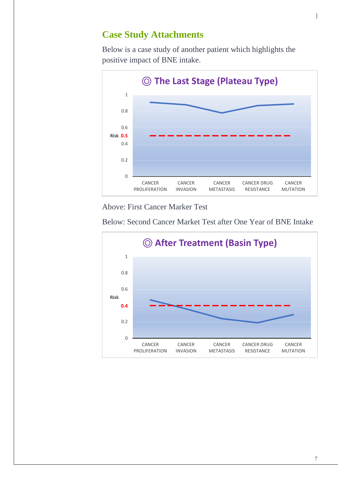## **Case Study Attachments**

Below is a case study of another patient which highlights the positive impact of BNE intake.



Above: First Cancer Marker Test

Below: Second Cancer Market Test after One Year of BNE Intake